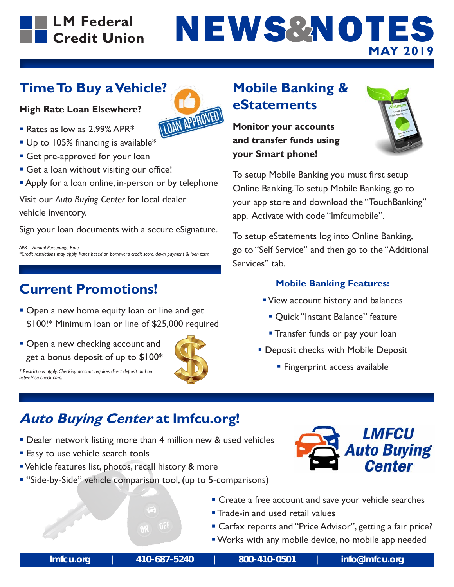

# **MAY 2019** NEWS & NOTES

#### **Time To Buy a Vehicle?**

#### **High Rate Loan Elsewhere?**

- Rates as low as  $2.99\%$  APR\*
- **LOAN APPROVED Up to 105% financing is available\***
- Get pre-approved for your loan
- **Get a loan without visiting our office!**
- **Apply for a loan online, in-person or by telephone**

Visit our *Auto Buying Center* for local dealer vehicle inventory.

Sign your loan documents with a secure eSignature.

*APR = Annual Percentage Rate \*Credit restrictions may apply. Rates based on borrower's credit score, down payment & loan term*

### **Current Promotions!**

- **Open a new home equity loan or line and get** \$100!\* Minimum loan or line of \$25,000 required
- **Open a new checking account and** get a bonus deposit of up to \$100\*



*\* Restrictions apply. Checking account requires direct deposit and an active Visa check card.*

## **Mobile Banking & eStatements**

**Monitor your accounts and transfer funds using your Smart phone!**



To setup Mobile Banking you must first setup Online Banking. To setup Mobile Banking, go to your app store and download the "TouchBanking" app. Activate with code "lmfcumobile".

To setup eStatements log into Online Banking, go to "Self Service" and then go to the "Additional Services" tab.

#### **Mobile Banking Features:**

- View account history and balances
	- **Quick "Instant Balance" feature**
	- **Transfer funds or pay your loan**
- **Deposit checks with Mobile Deposit** 
	- **Fingerprint access available**

### **Auto Buying Center at lmfcu.org!**

- **Dealer network listing more than 4 million new & used vehicles**
- **Easy to use vehicle search tools**
- Vehicle features list, photos, recall history & more
- **"** "Side-by-Side" vehicle comparison tool, (up to 5-comparisons)



- **Create a free account and save your vehicle searches**
- **Trade-in and used retail values**
- Carfax reports and "Price Advisor", getting a fair price?
- Works with any mobile device, no mobile app needed